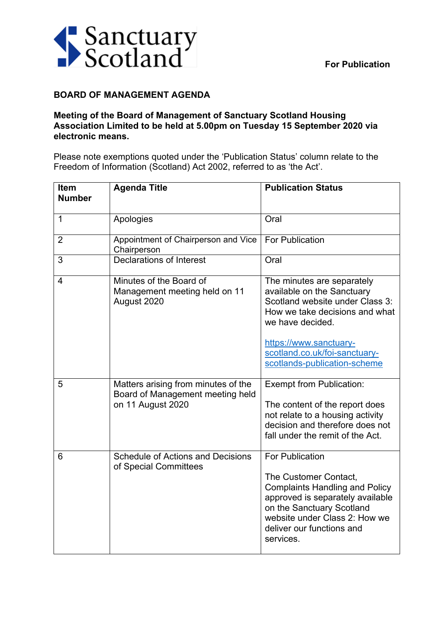

## **BOARD OF MANAGEMENT AGENDA**

## **Meeting of the Board of Management of Sanctuary Scotland Housing Association Limited to be held at 5.00pm on Tuesday 15 September 2020 via electronic means.**

Please note exemptions quoted under the 'Publication Status' column relate to the Freedom of Information (Scotland) Act 2002, referred to as 'the Act'.

| Item<br><b>Number</b> | <b>Agenda Title</b>                                                                          | <b>Publication Status</b>                                                                                                                                                                                                                    |
|-----------------------|----------------------------------------------------------------------------------------------|----------------------------------------------------------------------------------------------------------------------------------------------------------------------------------------------------------------------------------------------|
| 1                     | Apologies                                                                                    | Oral                                                                                                                                                                                                                                         |
| $\overline{2}$        | Appointment of Chairperson and Vice<br>Chairperson                                           | <b>For Publication</b>                                                                                                                                                                                                                       |
| 3                     | <b>Declarations of Interest</b>                                                              | Oral                                                                                                                                                                                                                                         |
| 4                     | Minutes of the Board of<br>Management meeting held on 11<br>August 2020                      | The minutes are separately<br>available on the Sanctuary<br>Scotland website under Class 3:<br>How we take decisions and what<br>we have decided.<br>https://www.sanctuary-<br>scotland.co.uk/foi-sanctuary-<br>scotlands-publication-scheme |
| 5                     | Matters arising from minutes of the<br>Board of Management meeting held<br>on 11 August 2020 | <b>Exempt from Publication:</b><br>The content of the report does<br>not relate to a housing activity<br>decision and therefore does not<br>fall under the remit of the Act.                                                                 |
| 6                     | <b>Schedule of Actions and Decisions</b><br>of Special Committees                            | <b>For Publication</b><br>The Customer Contact,<br><b>Complaints Handling and Policy</b><br>approved is separately available<br>on the Sanctuary Scotland<br>website under Class 2: How we<br>deliver our functions and<br>services.         |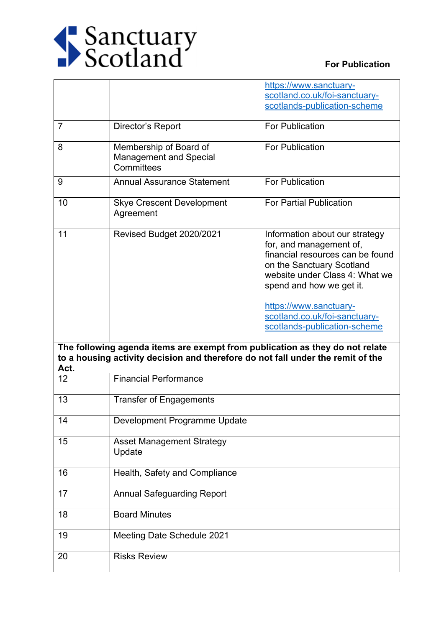

## **For Publication**

|                                                                                                                                                                         |                                                                       | https://www.sanctuary-                                                                                                                                                                                                                                                              |  |  |
|-------------------------------------------------------------------------------------------------------------------------------------------------------------------------|-----------------------------------------------------------------------|-------------------------------------------------------------------------------------------------------------------------------------------------------------------------------------------------------------------------------------------------------------------------------------|--|--|
|                                                                                                                                                                         |                                                                       | scotland.co.uk/foi-sanctuary-                                                                                                                                                                                                                                                       |  |  |
|                                                                                                                                                                         |                                                                       | scotlands-publication-scheme                                                                                                                                                                                                                                                        |  |  |
| $\overline{7}$                                                                                                                                                          | Director's Report                                                     | <b>For Publication</b>                                                                                                                                                                                                                                                              |  |  |
| 8                                                                                                                                                                       | Membership of Board of<br><b>Management and Special</b><br>Committees | <b>For Publication</b>                                                                                                                                                                                                                                                              |  |  |
| 9                                                                                                                                                                       | <b>Annual Assurance Statement</b>                                     | <b>For Publication</b>                                                                                                                                                                                                                                                              |  |  |
| 10                                                                                                                                                                      | <b>Skye Crescent Development</b><br>Agreement                         | <b>For Partial Publication</b>                                                                                                                                                                                                                                                      |  |  |
| 11                                                                                                                                                                      | Revised Budget 2020/2021                                              | Information about our strategy<br>for, and management of,<br>financial resources can be found<br>on the Sanctuary Scotland<br>website under Class 4: What we<br>spend and how we get it.<br>https://www.sanctuary-<br>scotland.co.uk/foi-sanctuary-<br>scotlands-publication-scheme |  |  |
| The following agenda items are exempt from publication as they do not relate<br>to a housing activity decision and therefore do not fall under the remit of the<br>Act. |                                                                       |                                                                                                                                                                                                                                                                                     |  |  |
| 12                                                                                                                                                                      | <b>Financial Performance</b>                                          |                                                                                                                                                                                                                                                                                     |  |  |
| 13                                                                                                                                                                      | <b>Transfer of Engagements</b>                                        |                                                                                                                                                                                                                                                                                     |  |  |
| 14                                                                                                                                                                      | Development Programme Update                                          |                                                                                                                                                                                                                                                                                     |  |  |
| 15                                                                                                                                                                      | <b>Asset Management Strategy</b><br>Update                            |                                                                                                                                                                                                                                                                                     |  |  |
| 16                                                                                                                                                                      | Health, Safety and Compliance                                         |                                                                                                                                                                                                                                                                                     |  |  |
| 17                                                                                                                                                                      | <b>Annual Safeguarding Report</b>                                     |                                                                                                                                                                                                                                                                                     |  |  |
| 18                                                                                                                                                                      | <b>Board Minutes</b>                                                  |                                                                                                                                                                                                                                                                                     |  |  |
| 19                                                                                                                                                                      | <b>Meeting Date Schedule 2021</b>                                     |                                                                                                                                                                                                                                                                                     |  |  |
| 20                                                                                                                                                                      | <b>Risks Review</b>                                                   |                                                                                                                                                                                                                                                                                     |  |  |